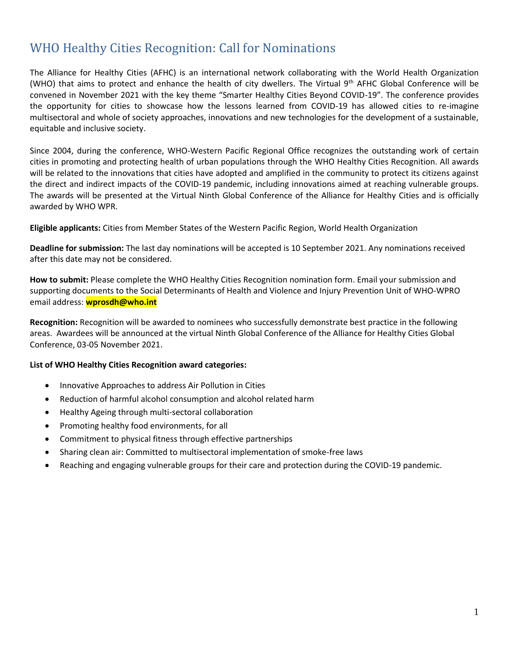# WHO Healthy Cities Recognition: Call for Nominations

The Alliance for Healthy Cities (AFHC) is an international network collaborating with the World Health Organization (WHO) that aims to protect and enhance the health of city dwellers. The Virtual  $9<sup>th</sup>$  AFHC Global Conference will be convened in November 2021 with the key theme "Smarter Healthy Cities Beyond COVID-19". The conference provides the opportunity for cities to showcase how the lessons learned from COVID-19 has allowed cities to re-imagine multisectoral and whole of society approaches, innovations and new technologies for the development of a sustainable, equitable and inclusive society.

Since 2004, during the conference, WHO-Western Pacific Regional Office recognizes the outstanding work of certain cities in promoting and protecting health of urban populations through the WHO Healthy Cities Recognition. All awards will be related to the innovations that cities have adopted and amplified in the community to protect its citizens against the direct and indirect impacts of the COVID-19 pandemic, including innovations aimed at reaching vulnerable groups. The awards will be presented at the Virtual Ninth Global Conference of the Alliance for Healthy Cities and is officially awarded by WHO WPR.

**Eligible applicants:** Cities from Member States of the Western Pacific Region, World Health Organization

**Deadline for submission:** The last day nominations will be accepted is 10 September 2021. Any nominations received after this date may not be considered.

**How to submit:** Please complete the WHO Healthy Cities Recognition nomination form. Email your submission and supporting documents to the Social Determinants of Health and Violence and Injury Prevention Unit of WHO-WPRO email address: **wprosdh@who.int**

**Recognition:** Recognition will be awarded to nominees who successfully demonstrate best practice in the following areas. Awardees will be announced at the virtual Ninth Global Conference of the Alliance for Healthy Cities Global Conference, 03-05 November 2021.

# **List of WHO Healthy Cities Recognition award categories:**

- Innovative Approaches to address Air Pollution in Cities
- Reduction of harmful alcohol consumption and alcohol related harm
- Healthy Ageing through multi-sectoral collaboration
- Promoting healthy food environments, for all
- Commitment to physical fitness through effective partnerships
- Sharing clean air: Committed to multisectoral implementation of smoke-free laws
- Reaching and engaging vulnerable groups for their care and protection during the COVID-19 pandemic.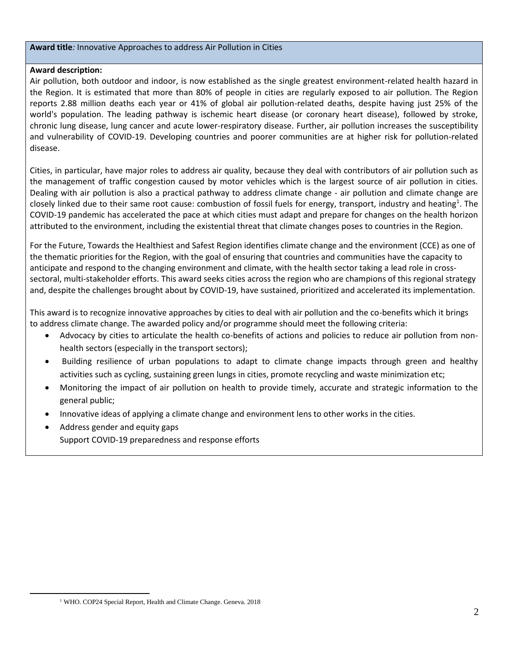#### **Award title***:* Innovative Approaches to address Air Pollution in Cities

## **Award description:**

Air pollution, both outdoor and indoor, is now established as the single greatest environment-related health hazard in the Region. It is estimated that more than 80% of people in cities are regularly exposed to air pollution. The Region reports 2.88 million deaths each year or 41% of global air pollution-related deaths, despite having just 25% of the world's population. The leading pathway is ischemic heart disease (or coronary heart disease), followed by stroke, chronic lung disease, lung cancer and acute lower-respiratory disease. Further, air pollution increases the susceptibility and vulnerability of COVID-19. Developing countries and poorer communities are at higher risk for pollution-related disease.

Cities, in particular, have major roles to address air quality, because they deal with contributors of air pollution such as the management of traffic congestion caused by motor vehicles which is the largest source of air pollution in cities. Dealing with air pollution is also a practical pathway to address climate change - air pollution and climate change are closely linked due to their same root cause: combustion of fossil fuels for energy, transport, industry and heating<sup>1</sup>. The COVID-19 pandemic has accelerated the pace at which cities must adapt and prepare for changes on the health horizon attributed to the environment, including the existential threat that climate changes poses to countries in the Region.

For the Future, Towards the Healthiest and Safest Region identifies climate change and the environment (CCE) as one of the thematic priorities for the Region, with the goal of ensuring that countries and communities have the capacity to anticipate and respond to the changing environment and climate, with the health sector taking a lead role in crosssectoral, multi-stakeholder efforts. This award seeks cities across the region who are champions of this regional strategy and, despite the challenges brought about by COVID-19, have sustained, prioritized and accelerated its implementation.

This award is to recognize innovative approaches by cities to deal with air pollution and the co-benefits which it brings to address climate change. The awarded policy and/or programme should meet the following criteria:

- Advocacy by cities to articulate the health co-benefits of actions and policies to reduce air pollution from nonhealth sectors (especially in the transport sectors);
- Building resilience of urban populations to adapt to climate change impacts through green and healthy activities such as cycling, sustaining green lungs in cities, promote recycling and waste minimization etc;
- Monitoring the impact of air pollution on health to provide timely, accurate and strategic information to the general public;
- Innovative ideas of applying a climate change and environment lens to other works in the cities.
- Address gender and equity gaps Support COVID-19 preparedness and response efforts

<sup>&</sup>lt;sup>1</sup> WHO. COP24 Special Report, Health and Climate Change. Geneva. 2018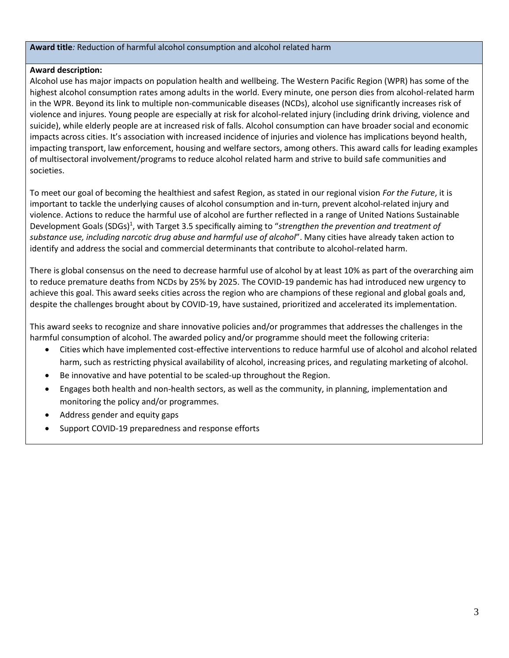# **Award title***:* Reduction of harmful alcohol consumption and alcohol related harm

# **Award description:**

Alcohol use has major impacts on population health and wellbeing. The Western Pacific Region (WPR) has some of the highest alcohol consumption rates among adults in the world. Every minute, one person dies from alcohol-related harm in the WPR. Beyond its link to multiple non-communicable diseases (NCDs), alcohol use significantly increases risk of violence and injures. Young people are especially at risk for alcohol-related injury (including drink driving, violence and suicide), while elderly people are at increased risk of falls. Alcohol consumption can have broader social and economic impacts across cities. It's association with increased incidence of injuries and violence has implications beyond health, impacting transport, law enforcement, housing and welfare sectors, among others. This award calls for leading examples of multisectoral involvement/programs to reduce alcohol related harm and strive to build safe communities and societies.

To meet our goal of becoming the healthiest and safest Region, as stated in our regional vision *For the Future*, it is important to tackle the underlying causes of alcohol consumption and in-turn, prevent alcohol-related injury and violence. Actions to reduce the harmful use of alcohol are further reflected in a range of United Nations Sustainable Development Goals (SDGs)<sup>1</sup>, with Target 3.5 specifically aiming to "strengthen the prevention and treatment of *substance use, including narcotic drug abuse and harmful use of alcohol*". Many cities have already taken action to identify and address the social and commercial determinants that contribute to alcohol-related harm.

There is global consensus on the need to decrease harmful use of alcohol by at least 10% as part of the overarching aim to reduce premature deaths from NCDs by 25% by 2025. The COVID-19 pandemic has had introduced new urgency to achieve this goal. This award seeks cities across the region who are champions of these regional and global goals and, despite the challenges brought about by COVID-19, have sustained, prioritized and accelerated its implementation.

This award seeks to recognize and share innovative policies and/or programmes that addresses the challenges in the harmful consumption of alcohol. The awarded policy and/or programme should meet the following criteria:

- Cities which have implemented cost-effective interventions to reduce harmful use of alcohol and alcohol related harm, such as restricting physical availability of alcohol, increasing prices, and regulating marketing of alcohol.
- Be innovative and have potential to be scaled-up throughout the Region.
- Engages both health and non-health sectors, as well as the community, in planning, implementation and monitoring the policy and/or programmes.
- Address gender and equity gaps
- Support COVID-19 preparedness and response efforts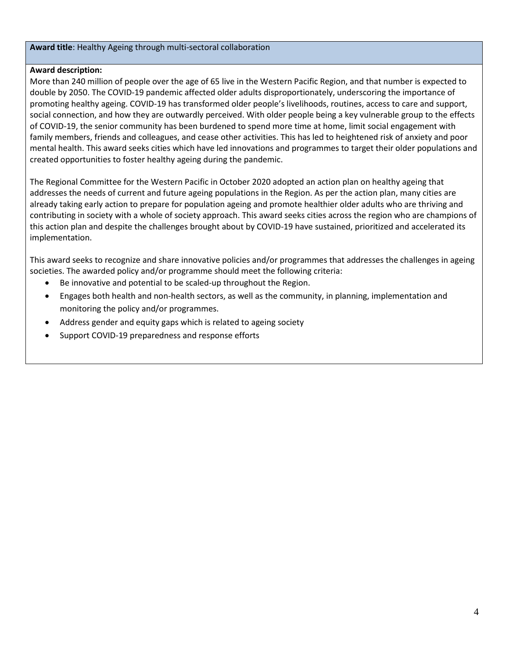## **Award title**: Healthy Ageing through multi-sectoral collaboration

# **Award description:**

More than 240 million of people over the age of 65 live in the Western Pacific Region, and that number is expected to double by 2050. The COVID-19 pandemic affected older adults disproportionately, underscoring the importance of promoting healthy ageing. COVID-19 has transformed older people's livelihoods, routines, access to care and support, social connection, and how they are outwardly perceived. With older people being a key vulnerable group to the effects of COVID-19, the senior community has been burdened to spend more time at home, limit social engagement with family members, friends and colleagues, and cease other activities. This has led to heightened risk of anxiety and poor mental health. This award seeks cities which have led innovations and programmes to target their older populations and created opportunities to foster healthy ageing during the pandemic.

The Regional Committee for the Western Pacific in October 2020 adopted an action plan on healthy ageing that addresses the needs of current and future ageing populations in the Region. As per the action plan, many cities are already taking early action to prepare for population ageing and promote healthier older adults who are thriving and contributing in society with a whole of society approach. This award seeks cities across the region who are champions of this action plan and despite the challenges brought about by COVID-19 have sustained, prioritized and accelerated its implementation.

This award seeks to recognize and share innovative policies and/or programmes that addresses the challenges in ageing societies. The awarded policy and/or programme should meet the following criteria:

- Be innovative and potential to be scaled-up throughout the Region.
- Engages both health and non-health sectors, as well as the community, in planning, implementation and monitoring the policy and/or programmes.
- Address gender and equity gaps which is related to ageing society
- Support COVID-19 preparedness and response efforts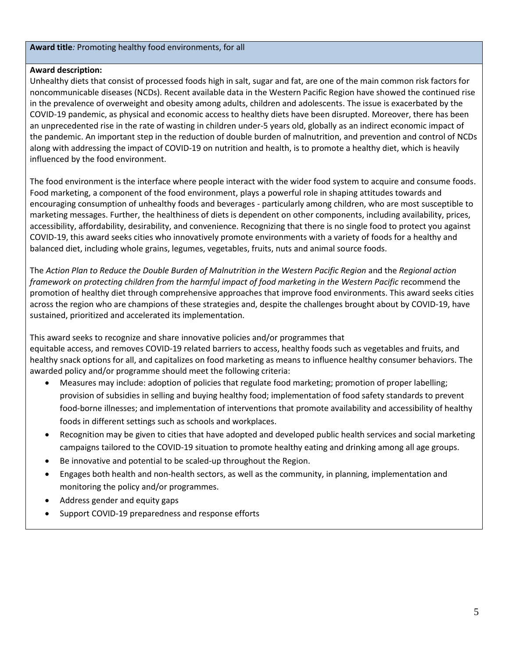#### **Award title***:* Promoting healthy food environments, for all

# **Award description:**

Unhealthy diets that consist of processed foods high in salt, sugar and fat, are one of the main common risk factors for noncommunicable diseases (NCDs). Recent available data in the Western Pacific Region have showed the continued rise in the prevalence of overweight and obesity among adults, children and adolescents. The issue is exacerbated by the COVID-19 pandemic, as physical and economic access to healthy diets have been disrupted. Moreover, there has been an unprecedented rise in the rate of wasting in children under-5 years old, globally as an indirect economic impact of the pandemic. An important step in the reduction of double burden of malnutrition, and prevention and control of NCDs along with addressing the impact of COVID-19 on nutrition and health, is to promote a healthy diet, which is heavily influenced by the food environment.

The food environment is the interface where people interact with the wider food system to acquire and consume foods. Food marketing, a component of the food environment, plays a powerful role in shaping attitudes towards and encouraging consumption of unhealthy foods and beverages - particularly among children, who are most susceptible to marketing messages. Further, the healthiness of diets is dependent on other components, including availability, prices, accessibility, affordability, desirability, and convenience. Recognizing that there is no single food to protect you against COVID-19, this award seeks cities who innovatively promote environments with a variety of foods for a healthy and balanced diet, including whole grains, legumes, vegetables, fruits, nuts and animal source foods.

The *Action Plan to Reduce the Double Burden of Malnutrition in the Western Pacific Region* and the *Regional action framework on protecting children from the harmful impact of food marketing in the Western Pacific* recommend the promotion of healthy diet through comprehensive approaches that improve food environments. This award seeks cities across the region who are champions of these strategies and, despite the challenges brought about by COVID-19, have sustained, prioritized and accelerated its implementation.

This award seeks to recognize and share innovative policies and/or programmes that equitable access, and removes COVID-19 related barriers to access, healthy foods such as vegetables and fruits, and healthy snack options for all, and capitalizes on food marketing as means to influence healthy consumer behaviors. The awarded policy and/or programme should meet the following criteria:

- Measures may include: adoption of policies that regulate food marketing; promotion of proper labelling; provision of subsidies in selling and buying healthy food; implementation of food safety standards to prevent food-borne illnesses; and implementation of interventions that promote availability and accessibility of healthy foods in different settings such as schools and workplaces.
- Recognition may be given to cities that have adopted and developed public health services and social marketing campaigns tailored to the COVID-19 situation to promote healthy eating and drinking among all age groups.
- Be innovative and potential to be scaled-up throughout the Region.
- Engages both health and non-health sectors, as well as the community, in planning, implementation and monitoring the policy and/or programmes.
- Address gender and equity gaps
- Support COVID-19 preparedness and response efforts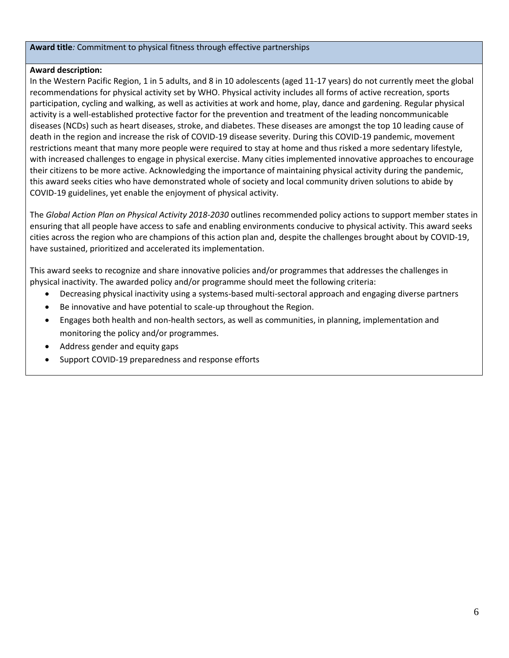#### **Award title***:* Commitment to physical fitness through effective partnerships

## **Award description:**

In the Western Pacific Region, 1 in 5 adults, and 8 in 10 adolescents (aged 11-17 years) do not currently meet the global recommendations for physical activity set by WHO. Physical activity includes all forms of active recreation, sports participation, cycling and walking, as well as activities at work and home, play, dance and gardening. Regular physical activity is a well-established protective factor for the prevention and treatment of the leading noncommunicable diseases (NCDs) such as heart diseases, stroke, and diabetes. These diseases are amongst the top 10 leading cause of death in the region and increase the risk of COVID-19 disease severity. During this COVID-19 pandemic, movement restrictions meant that many more people were required to stay at home and thus risked a more sedentary lifestyle, with increased challenges to engage in physical exercise. Many cities implemented innovative approaches to encourage their citizens to be more active. Acknowledging the importance of maintaining physical activity during the pandemic, this award seeks cities who have demonstrated whole of society and local community driven solutions to abide by COVID-19 guidelines, yet enable the enjoyment of physical activity.

The *Global Action Plan on Physical Activity 2018-2030* outlines recommended policy actions to support member states in ensuring that all people have access to safe and enabling environments conducive to physical activity. This award seeks cities across the region who are champions of this action plan and, despite the challenges brought about by COVID-19, have sustained, prioritized and accelerated its implementation.

This award seeks to recognize and share innovative policies and/or programmes that addresses the challenges in physical inactivity. The awarded policy and/or programme should meet the following criteria:

- Decreasing physical inactivity using a systems-based multi-sectoral approach and engaging diverse partners
- Be innovative and have potential to scale-up throughout the Region.
- Engages both health and non-health sectors, as well as communities, in planning, implementation and monitoring the policy and/or programmes.
- Address gender and equity gaps
- Support COVID-19 preparedness and response efforts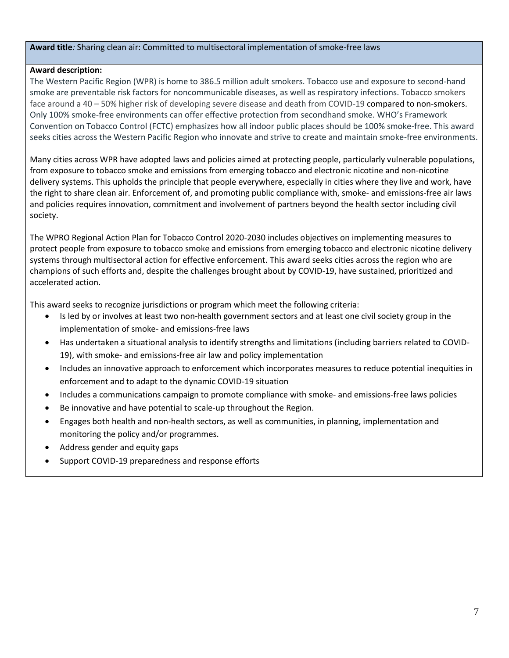## **Award title***:* Sharing clean air: Committed to multisectoral implementation of smoke-free laws

# **Award description:**

The Western Pacific Region (WPR) is home to 386.5 million adult smokers. Tobacco use and exposure to second-hand smoke are preventable risk factors for noncommunicable diseases, as well as respiratory infections. Tobacco smokers face around a 40 – 50% higher risk of developing severe disease and death from COVID-19 compared to non-smokers. Only 100% smoke-free environments can offer effective protection from secondhand smoke. WHO's Framework Convention on Tobacco Control (FCTC) emphasizes how all indoor public places should be 100% smoke-free. This award seeks cities across the Western Pacific Region who innovate and strive to create and maintain smoke-free environments.

Many cities across WPR have adopted laws and policies aimed at protecting people, particularly vulnerable populations, from exposure to tobacco smoke and emissions from emerging tobacco and electronic nicotine and non-nicotine delivery systems. This upholds the principle that people everywhere, especially in cities where they live and work, have the right to share clean air. Enforcement of, and promoting public compliance with, smoke- and emissions-free air laws and policies requires innovation, commitment and involvement of partners beyond the health sector including civil society.

The WPRO Regional Action Plan for Tobacco Control 2020-2030 includes objectives on implementing measures to protect people from exposure to tobacco smoke and emissions from emerging tobacco and electronic nicotine delivery systems through multisectoral action for effective enforcement. This award seeks cities across the region who are champions of such efforts and, despite the challenges brought about by COVID-19, have sustained, prioritized and accelerated action.

This award seeks to recognize jurisdictions or program which meet the following criteria:

- Is led by or involves at least two non-health government sectors and at least one civil society group in the implementation of smoke- and emissions-free laws
- Has undertaken a situational analysis to identify strengths and limitations (including barriers related to COVID-19), with smoke- and emissions-free air law and policy implementation
- Includes an innovative approach to enforcement which incorporates measures to reduce potential inequities in enforcement and to adapt to the dynamic COVID-19 situation
- Includes a communications campaign to promote compliance with smoke- and emissions-free laws policies
- Be innovative and have potential to scale-up throughout the Region.
- Engages both health and non-health sectors, as well as communities, in planning, implementation and monitoring the policy and/or programmes.
- Address gender and equity gaps
- Support COVID-19 preparedness and response efforts